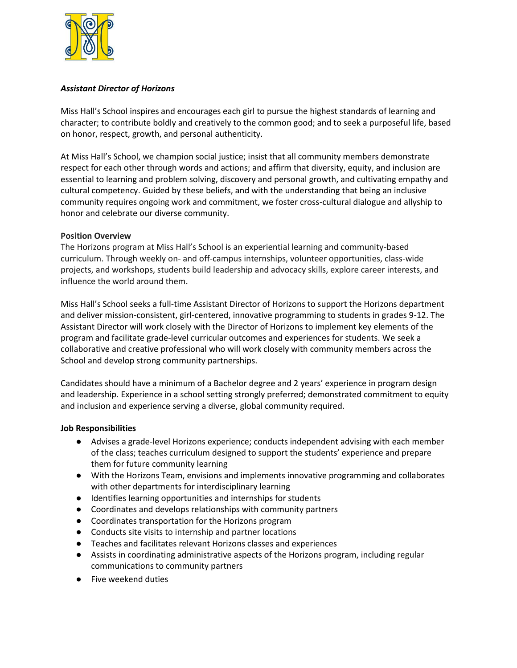

## *Assistant Director of Horizons*

Miss Hall's School inspires and encourages each girl to pursue the highest standards of learning and character; to contribute boldly and creatively to the common good; and to seek a purposeful life, based on honor, respect, growth, and personal authenticity.

At Miss Hall's School, we champion social justice; insist that all community members demonstrate respect for each other through words and actions; and affirm that diversity, equity, and inclusion are essential to learning and problem solving, discovery and personal growth, and cultivating empathy and cultural competency. Guided by these beliefs, and with the understanding that being an inclusive community requires ongoing work and commitment, we foster cross-cultural dialogue and allyship to honor and celebrate our diverse community.

## **Position Overview**

The Horizons program at Miss Hall's School is an experiential learning and community-based curriculum. Through weekly on- and off-campus internships, volunteer opportunities, class-wide projects, and workshops, students build leadership and advocacy skills, explore career interests, and influence the world around them.

Miss Hall's School seeks a full-time Assistant Director of Horizons to support the Horizons department and deliver mission-consistent, girl-centered, innovative programming to students in grades 9-12. The Assistant Director will work closely with the Director of Horizons to implement key elements of the program and facilitate grade-level curricular outcomes and experiences for students. We seek a collaborative and creative professional who will work closely with community members across the School and develop strong community partnerships.

Candidates should have a minimum of a Bachelor degree and 2 years' experience in program design and leadership. Experience in a school setting strongly preferred; demonstrated commitment to equity and inclusion and experience serving a diverse, global community required.

## **Job Responsibilities**

- Advises a grade-level Horizons experience; conducts independent advising with each member of the class; teaches curriculum designed to support the students' experience and prepare them for future community learning
- With the Horizons Team, envisions and implements innovative programming and collaborates with other departments for interdisciplinary learning
- Identifies learning opportunities and internships for students
- Coordinates and develops relationships with community partners
- Coordinates transportation for the Horizons program
- Conducts site visits to internship and partner locations
- Teaches and facilitates relevant Horizons classes and experiences
- Assists in coordinating administrative aspects of the Horizons program, including regular communications to community partners
- Five weekend duties